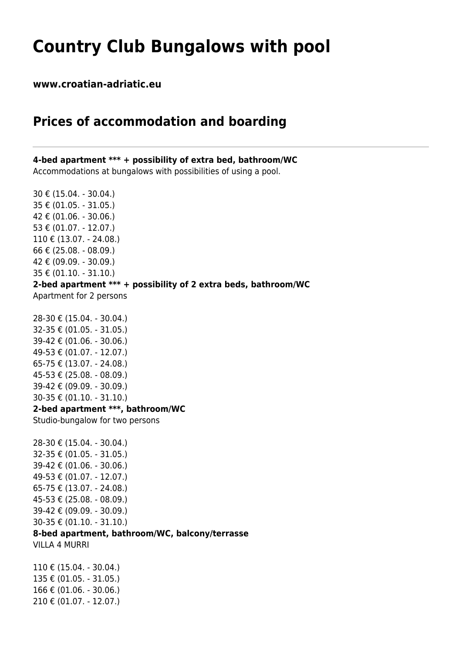## **Country Club Bungalows with pool**

**www.croatian-adriatic.eu**

## **Prices of accommodation and boarding**

**4-bed apartment \*\*\* + possibility of extra bed, bathroom/WC** Accommodations at bungalows with possibilities of using a pool.

30 € (15.04. - 30.04.) 35 € (01.05. - 31.05.) 42 € (01.06. - 30.06.) 53 € (01.07. - 12.07.) 110 € (13.07. - 24.08.) 66 € (25.08. - 08.09.) 42 € (09.09. - 30.09.) 35 € (01.10. - 31.10.) **2-bed apartment \*\*\* + possibility of 2 extra beds, bathroom/WC** Apartment for 2 persons 28-30 € (15.04. - 30.04.) 32-35 € (01.05. - 31.05.) 39-42 € (01.06. - 30.06.) 49-53 € (01.07. - 12.07.) 65-75 € (13.07. - 24.08.) 45-53 € (25.08. - 08.09.) 39-42 € (09.09. - 30.09.) 30-35 € (01.10. - 31.10.) **2-bed apartment \*\*\*, bathroom/WC** Studio-bungalow for two persons 28-30 € (15.04. - 30.04.) 32-35 € (01.05. - 31.05.) 39-42 € (01.06. - 30.06.) 49-53 € (01.07. - 12.07.) 65-75 € (13.07. - 24.08.) 45-53 € (25.08. - 08.09.)

30-35 € (01.10. - 31.10.)

## **8-bed apartment, bathroom/WC, balcony/terrasse**

VILLA 4 MURRI

110 € (15.04. - 30.04.) 135 € (01.05. - 31.05.) 166 € (01.06. - 30.06.) 210 € (01.07. - 12.07.)

39-42 € (09.09. - 30.09.)